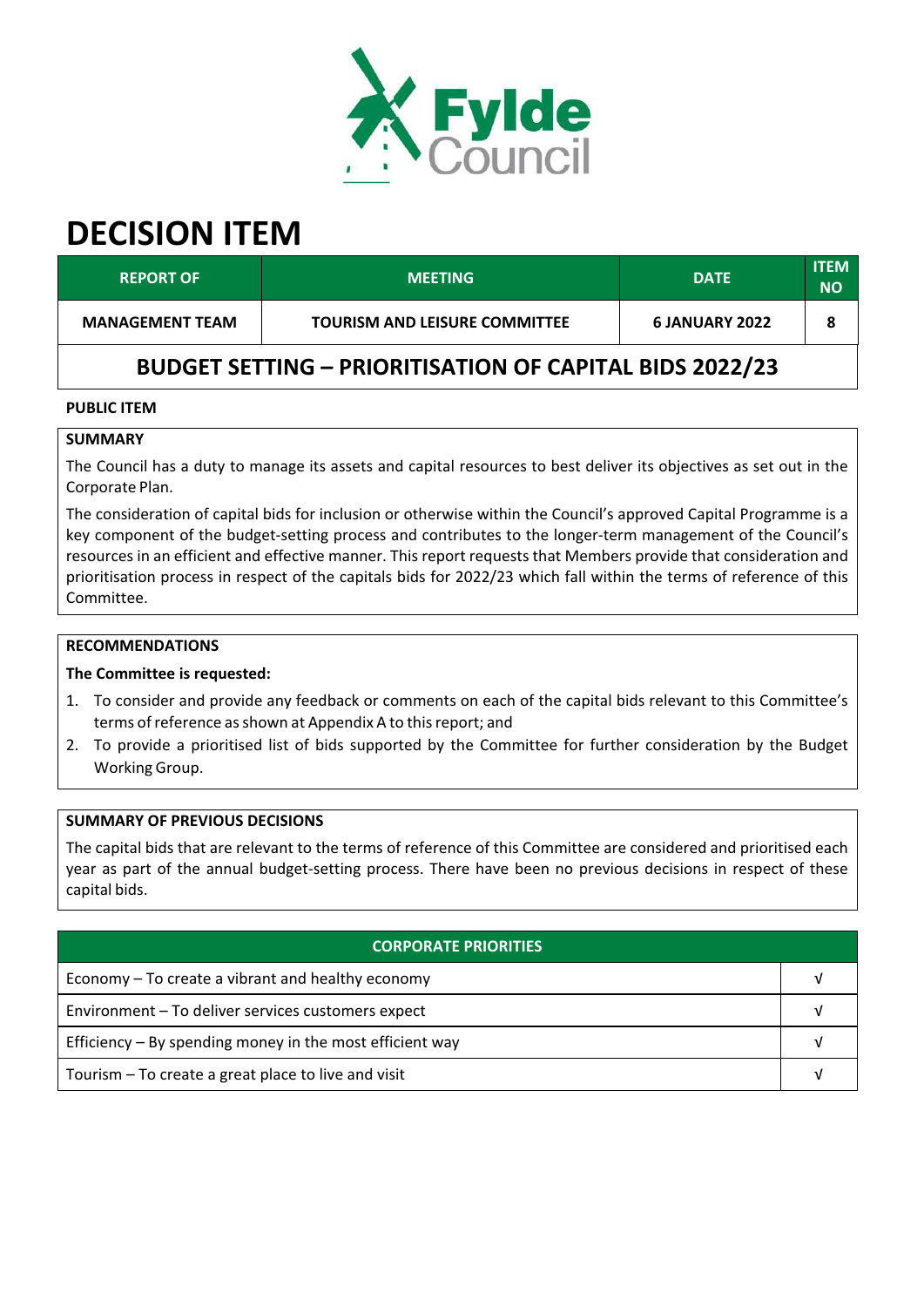

# **DECISION ITEM**

| <b>REPORT OF</b>                                               | <b>MEETING</b>                       | <b>DATE</b>    | <b>ITEM</b><br><b>NO</b> |  |  |
|----------------------------------------------------------------|--------------------------------------|----------------|--------------------------|--|--|
| <b>MANAGEMENT TEAM</b>                                         | <b>TOURISM AND LEISURE COMMITTEE</b> | 6 JANUARY 2022 |                          |  |  |
| <b>BUDGET SETTING - PRIORITISATION OF CAPITAL BIDS 2022/23</b> |                                      |                |                          |  |  |

#### **PUBLIC ITEM**

## **SUMMARY**

The Council has a duty to manage its assets and capital resources to best deliver its objectives as set out in the Corporate Plan.

The consideration of capital bids for inclusion or otherwise within the Council's approved Capital Programme is a key component of the budget-setting process and contributes to the longer-term management of the Council's resources in an efficient and effective manner. This report requests that Members provide that consideration and prioritisation process in respect of the capitals bids for 2022/23 which fall within the terms of reference of this Committee.

# **RECOMMENDATIONS**

#### **The Committee is requested:**

- 1. To consider and provide any feedback or comments on each of the capital bids relevant to this Committee's terms of reference as shown at Appendix A to this report; and
- 2. To provide a prioritised list of bids supported by the Committee for further consideration by the Budget Working Group.

#### **SUMMARY OF PREVIOUS DECISIONS**

The capital bids that are relevant to the terms of reference of this Committee are considered and prioritised each year as part of the annual budget‐setting process. There have been no previous decisions in respect of these capital bids.

| <b>CORPORATE PRIORITIES</b>                                |  |  |
|------------------------------------------------------------|--|--|
| Economy – To create a vibrant and healthy economy          |  |  |
| Environment - To deliver services customers expect         |  |  |
| Efficiency $-$ By spending money in the most efficient way |  |  |
| Tourism – To create a great place to live and visit        |  |  |